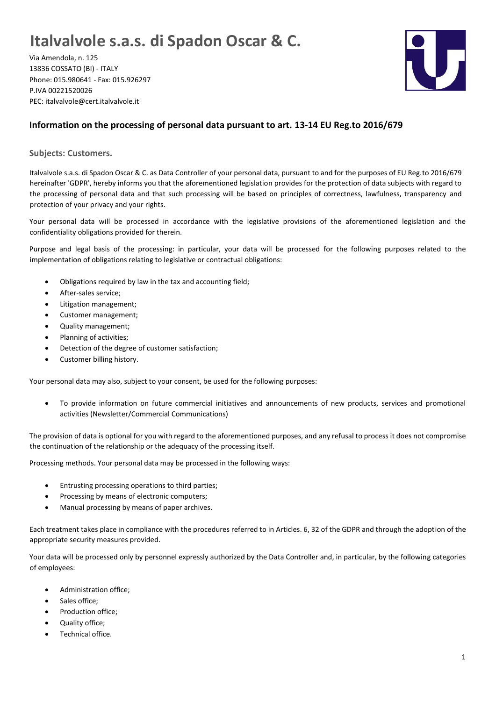## **Italvalvole s.a.s. di Spadon Oscar & C.**

Via Amendola, n. 125 13836 COSSATO (BI) - ITALY Phone: 015.980641 - Fax: 015.926297 P.IVA 00221520026 PEC: italvalvole@cert.italvalvole.it



## **Information on the processing of personal data pursuant to art. 13-14 EU Reg.to 2016/679**

**Subjects: Customers.**

Italvalvole s.a.s. di Spadon Oscar & C. as Data Controller of your personal data, pursuant to and for the purposes of EU Reg.to 2016/679 hereinafter 'GDPR', hereby informs you that the aforementioned legislation provides for the protection of data subjects with regard to the processing of personal data and that such processing will be based on principles of correctness, lawfulness, transparency and protection of your privacy and your rights.

Your personal data will be processed in accordance with the legislative provisions of the aforementioned legislation and the confidentiality obligations provided for therein.

Purpose and legal basis of the processing: in particular, your data will be processed for the following purposes related to the implementation of obligations relating to legislative or contractual obligations:

- Obligations required by law in the tax and accounting field;
- After-sales service;
- Litigation management;
- Customer management;
- Quality management;
- Planning of activities;
- Detection of the degree of customer satisfaction;
- Customer billing history.

Your personal data may also, subject to your consent, be used for the following purposes:

• To provide information on future commercial initiatives and announcements of new products, services and promotional activities (Newsletter/Commercial Communications)

The provision of data is optional for you with regard to the aforementioned purposes, and any refusal to process it does not compromise the continuation of the relationship or the adequacy of the processing itself.

Processing methods. Your personal data may be processed in the following ways:

- Entrusting processing operations to third parties;
- Processing by means of electronic computers;
- Manual processing by means of paper archives.

Each treatment takes place in compliance with the procedures referred to in Articles. 6, 32 of the GDPR and through the adoption of the appropriate security measures provided.

Your data will be processed only by personnel expressly authorized by the Data Controller and, in particular, by the following categories of employees:

- Administration office;
- Sales office:
- Production office;
- Quality office;
- Technical office.